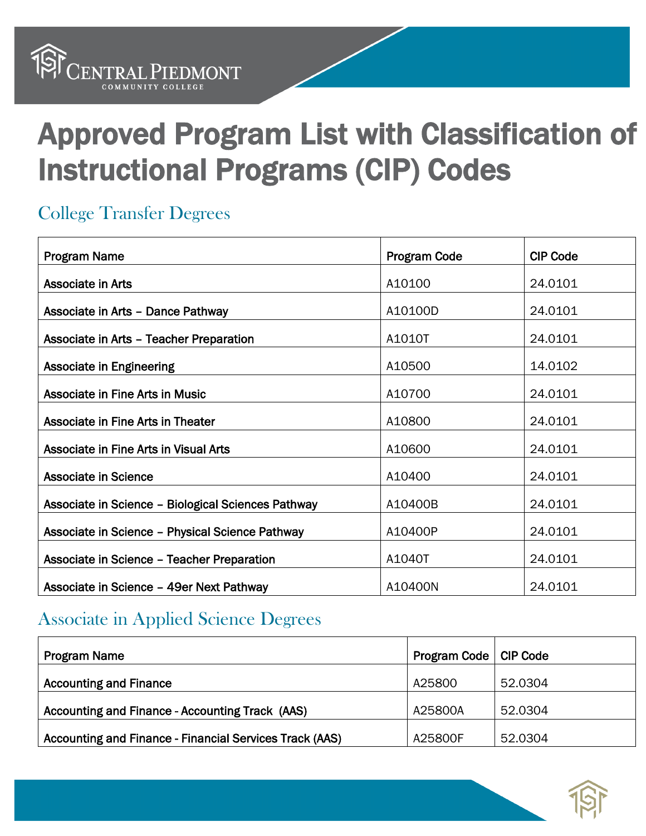# Approved Program List with Classification of Instructional Programs (CIP) Codes

#### College Transfer Degrees

| Program Name                                       | Program Code | <b>CIP Code</b> |
|----------------------------------------------------|--------------|-----------------|
| Associate in Arts                                  | A10100       | 24.0101         |
| Associate in Arts - Dance Pathway                  | A10100D      | 24.0101         |
| Associate in Arts - Teacher Preparation            | A1010T       | 24.0101         |
| <b>Associate in Engineering</b>                    | A10500       | 14.0102         |
| Associate in Fine Arts in Music                    | A10700       | 24.0101         |
| Associate in Fine Arts in Theater                  | A10800       | 24.0101         |
| Associate in Fine Arts in Visual Arts              | A10600       | 24.0101         |
| <b>Associate in Science</b>                        | A10400       | 24.0101         |
| Associate in Science - Biological Sciences Pathway | A10400B      | 24.0101         |
| Associate in Science - Physical Science Pathway    | A10400P      | 24.0101         |
| Associate in Science - Teacher Preparation         | A1040T       | 24.0101         |
| Associate in Science - 49er Next Pathway           | A10400N      | 24.0101         |

#### Associate in Applied Science Degrees

| <b>Program Name</b>                                     | Program Code   CIP Code |         |
|---------------------------------------------------------|-------------------------|---------|
| <b>Accounting and Finance</b>                           | A25800                  | 52.0304 |
| Accounting and Finance - Accounting Track (AAS)         | A25800A                 | 52.0304 |
| Accounting and Finance - Financial Services Track (AAS) | A25800F                 | 52.0304 |

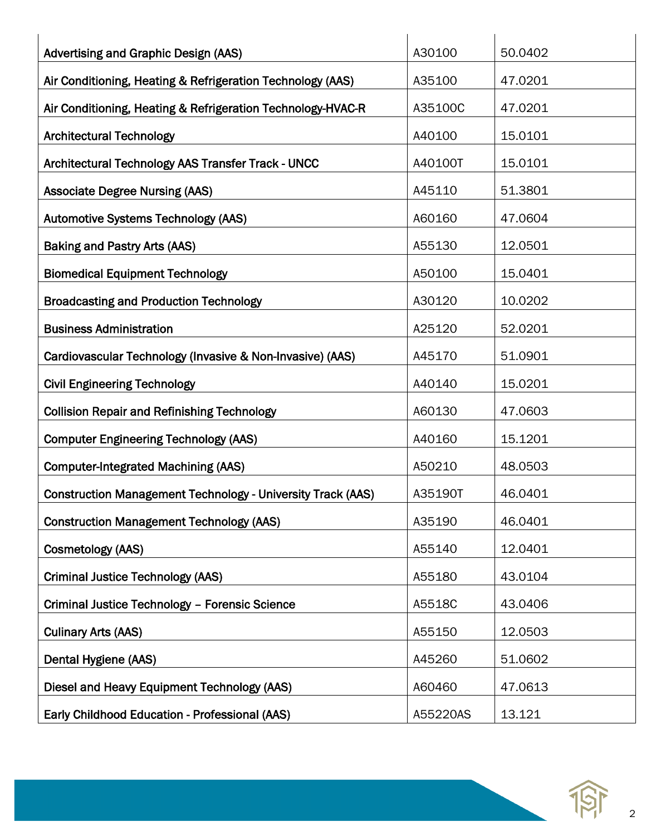| <b>Advertising and Graphic Design (AAS)</b>                        | A30100   | 50.0402 |
|--------------------------------------------------------------------|----------|---------|
| Air Conditioning, Heating & Refrigeration Technology (AAS)         | A35100   | 47.0201 |
| Air Conditioning, Heating & Refrigeration Technology-HVAC-R        | A35100C  | 47.0201 |
| <b>Architectural Technology</b>                                    | A40100   | 15.0101 |
| Architectural Technology AAS Transfer Track - UNCC                 | A40100T  | 15.0101 |
| <b>Associate Degree Nursing (AAS)</b>                              | A45110   | 51.3801 |
| <b>Automotive Systems Technology (AAS)</b>                         | A60160   | 47.0604 |
| <b>Baking and Pastry Arts (AAS)</b>                                | A55130   | 12.0501 |
| <b>Biomedical Equipment Technology</b>                             | A50100   | 15.0401 |
| <b>Broadcasting and Production Technology</b>                      | A30120   | 10.0202 |
| <b>Business Administration</b>                                     | A25120   | 52.0201 |
| Cardiovascular Technology (Invasive & Non-Invasive) (AAS)          | A45170   | 51.0901 |
| <b>Civil Engineering Technology</b>                                | A40140   | 15.0201 |
| <b>Collision Repair and Refinishing Technology</b>                 | A60130   | 47.0603 |
| <b>Computer Engineering Technology (AAS)</b>                       | A40160   | 15.1201 |
| <b>Computer-Integrated Machining (AAS)</b>                         | A50210   | 48.0503 |
| <b>Construction Management Technology - University Track (AAS)</b> | A35190T  | 46.0401 |
| <b>Construction Management Technology (AAS)</b>                    | A35190   | 46.0401 |
| Cosmetology (AAS)                                                  | A55140   | 12.0401 |
| <b>Criminal Justice Technology (AAS)</b>                           | A55180   | 43.0104 |
| Criminal Justice Technology - Forensic Science                     | A5518C   | 43.0406 |
| <b>Culinary Arts (AAS)</b>                                         | A55150   | 12.0503 |
| Dental Hygiene (AAS)                                               | A45260   | 51.0602 |
| Diesel and Heavy Equipment Technology (AAS)                        | A60460   | 47.0613 |
| Early Childhood Education - Professional (AAS)                     | A55220AS | 13.121  |

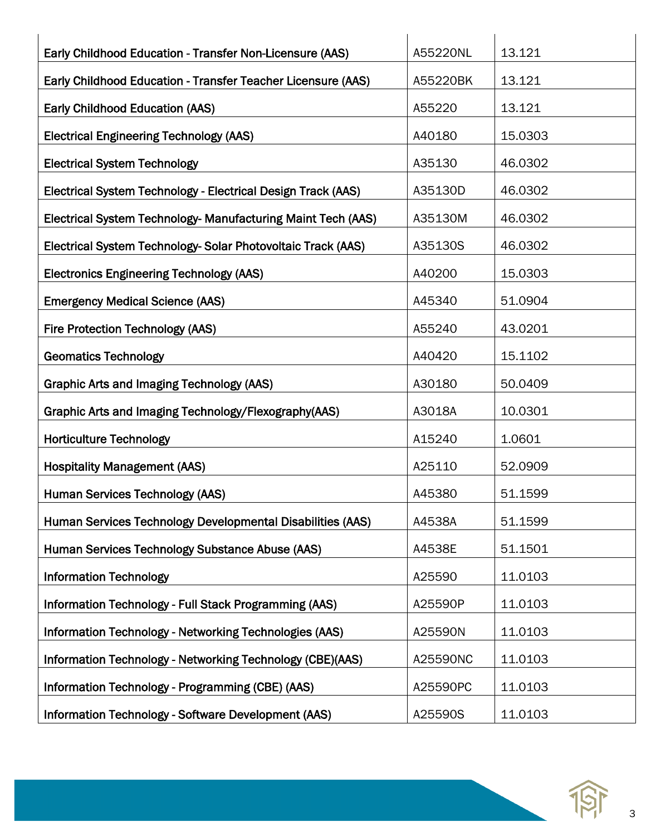| Early Childhood Education - Transfer Non-Licensure (AAS)      | A55220NL | 13.121  |
|---------------------------------------------------------------|----------|---------|
| Early Childhood Education - Transfer Teacher Licensure (AAS)  | A55220BK | 13.121  |
| <b>Early Childhood Education (AAS)</b>                        | A55220   | 13.121  |
| <b>Electrical Engineering Technology (AAS)</b>                | A40180   | 15.0303 |
| <b>Electrical System Technology</b>                           | A35130   | 46.0302 |
| Electrical System Technology - Electrical Design Track (AAS)  | A35130D  | 46.0302 |
| Electrical System Technology- Manufacturing Maint Tech (AAS)  | A35130M  | 46.0302 |
| Electrical System Technology- Solar Photovoltaic Track (AAS)  | A35130S  | 46.0302 |
| <b>Electronics Engineering Technology (AAS)</b>               | A40200   | 15.0303 |
| <b>Emergency Medical Science (AAS)</b>                        | A45340   | 51.0904 |
| <b>Fire Protection Technology (AAS)</b>                       | A55240   | 43.0201 |
| <b>Geomatics Technology</b>                                   | A40420   | 15.1102 |
| <b>Graphic Arts and Imaging Technology (AAS)</b>              | A30180   | 50.0409 |
| Graphic Arts and Imaging Technology/Flexography(AAS)          | A3018A   | 10.0301 |
| <b>Horticulture Technology</b>                                | A15240   | 1.0601  |
| <b>Hospitality Management (AAS)</b>                           | A25110   | 52.0909 |
| <b>Human Services Technology (AAS)</b>                        | A45380   | 51.1599 |
| Human Services Technology Developmental Disabilities (AAS)    | A4538A   | 51.1599 |
| Human Services Technology Substance Abuse (AAS)               | A4538E   | 51.1501 |
| <b>Information Technology</b>                                 | A25590   | 11.0103 |
| Information Technology - Full Stack Programming (AAS)         | A25590P  | 11.0103 |
| <b>Information Technology - Networking Technologies (AAS)</b> | A25590N  | 11.0103 |
| Information Technology - Networking Technology (CBE)(AAS)     | A25590NC | 11.0103 |
| Information Technology - Programming (CBE) (AAS)              | A25590PC | 11.0103 |
| Information Technology - Software Development (AAS)           | A25590S  | 11.0103 |

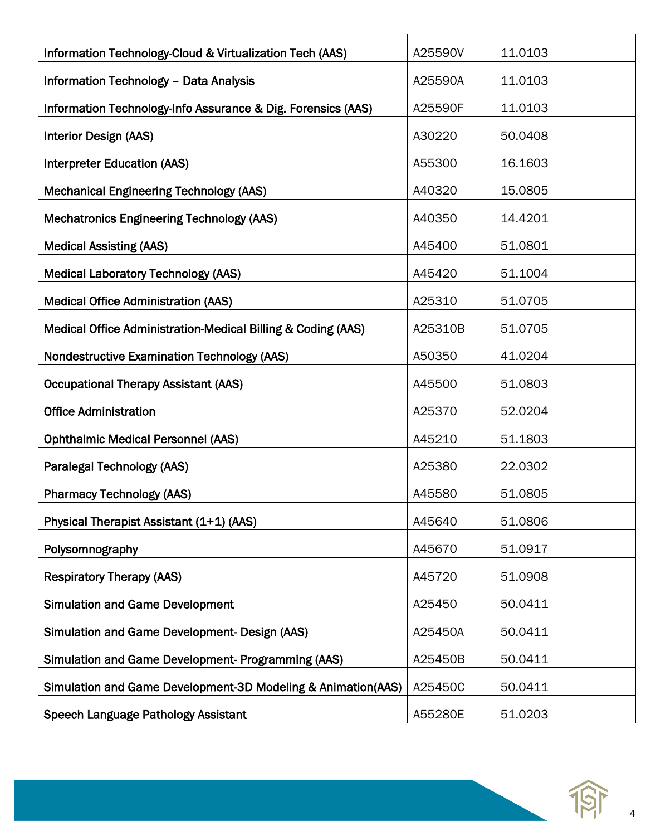| Information Technology-Cloud & Virtualization Tech (AAS)     | A25590V | 11.0103 |
|--------------------------------------------------------------|---------|---------|
| <b>Information Technology - Data Analysis</b>                | A25590A | 11.0103 |
| Information Technology-Info Assurance & Dig. Forensics (AAS) | A25590F | 11.0103 |
| <b>Interior Design (AAS)</b>                                 | A30220  | 50.0408 |
| <b>Interpreter Education (AAS)</b>                           | A55300  | 16.1603 |
| <b>Mechanical Engineering Technology (AAS)</b>               | A40320  | 15.0805 |
| <b>Mechatronics Engineering Technology (AAS)</b>             | A40350  | 14.4201 |
| <b>Medical Assisting (AAS)</b>                               | A45400  | 51.0801 |
| <b>Medical Laboratory Technology (AAS)</b>                   | A45420  | 51.1004 |
| <b>Medical Office Administration (AAS)</b>                   | A25310  | 51.0705 |
| Medical Office Administration-Medical Billing & Coding (AAS) | A25310B | 51.0705 |
| <b>Nondestructive Examination Technology (AAS)</b>           | A50350  | 41.0204 |
| <b>Occupational Therapy Assistant (AAS)</b>                  | A45500  | 51.0803 |
| <b>Office Administration</b>                                 | A25370  | 52.0204 |
| <b>Ophthalmic Medical Personnel (AAS)</b>                    | A45210  | 51.1803 |
| <b>Paralegal Technology (AAS)</b>                            | A25380  | 22.0302 |
| <b>Pharmacy Technology (AAS)</b>                             | A45580  | 51.0805 |
| Physical Therapist Assistant (1+1) (AAS)                     | A45640  | 51.0806 |
| Polysomnography                                              | A45670  | 51.0917 |
| <b>Respiratory Therapy (AAS)</b>                             | A45720  | 51.0908 |
| <b>Simulation and Game Development</b>                       | A25450  | 50.0411 |
| Simulation and Game Development- Design (AAS)                | A25450A | 50.0411 |
| Simulation and Game Development- Programming (AAS)           | A25450B | 50.0411 |
| Simulation and Game Development-3D Modeling & Animation(AAS) | A25450C | 50.0411 |
| <b>Speech Language Pathology Assistant</b>                   | A55280E | 51.0203 |

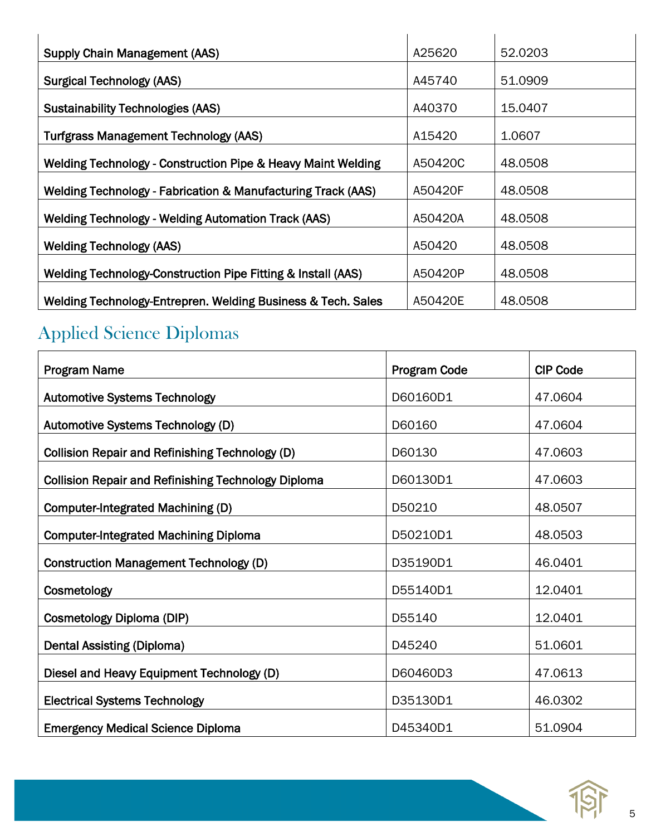| <b>Supply Chain Management (AAS)</b>                         | A25620  | 52.0203 |
|--------------------------------------------------------------|---------|---------|
| <b>Surgical Technology (AAS)</b>                             | A45740  | 51.0909 |
| <b>Sustainability Technologies (AAS)</b>                     | A40370  | 15.0407 |
| <b>Turfgrass Management Technology (AAS)</b>                 | A15420  | 1.0607  |
| Welding Technology - Construction Pipe & Heavy Maint Welding | A50420C | 48.0508 |
| Welding Technology - Fabrication & Manufacturing Track (AAS) | A50420F | 48.0508 |
| <b>Welding Technology - Welding Automation Track (AAS)</b>   | A50420A | 48.0508 |
| <b>Welding Technology (AAS)</b>                              | A50420  | 48.0508 |
| Welding Technology-Construction Pipe Fitting & Install (AAS) | A50420P | 48.0508 |
| Welding Technology-Entrepren. Welding Business & Tech. Sales | A50420E | 48.0508 |

## Applied Science Diplomas

| <b>Program Name</b>                                        | <b>Program Code</b> | <b>CIP Code</b> |
|------------------------------------------------------------|---------------------|-----------------|
| <b>Automotive Systems Technology</b>                       | D60160D1            | 47.0604         |
| <b>Automotive Systems Technology (D)</b>                   | D60160              | 47.0604         |
| <b>Collision Repair and Refinishing Technology (D)</b>     | D60130              | 47.0603         |
| <b>Collision Repair and Refinishing Technology Diploma</b> | D60130D1            | 47.0603         |
| Computer-Integrated Machining (D)                          | D50210              | 48.0507         |
| <b>Computer-Integrated Machining Diploma</b>               | D50210D1            | 48.0503         |
|                                                            |                     |                 |
| <b>Construction Management Technology (D)</b>              | D35190D1            | 46.0401         |
| Cosmetology                                                | D55140D1            | 12.0401         |
| Cosmetology Diploma (DIP)                                  | D55140              | 12.0401         |
| Dental Assisting (Diploma)                                 | D45240              | 51.0601         |
| Diesel and Heavy Equipment Technology (D)                  | D60460D3            | 47.0613         |
| <b>Electrical Systems Technology</b>                       | D35130D1            | 46.0302         |
| <b>Emergency Medical Science Diploma</b>                   | D45340D1            | 51.0904         |

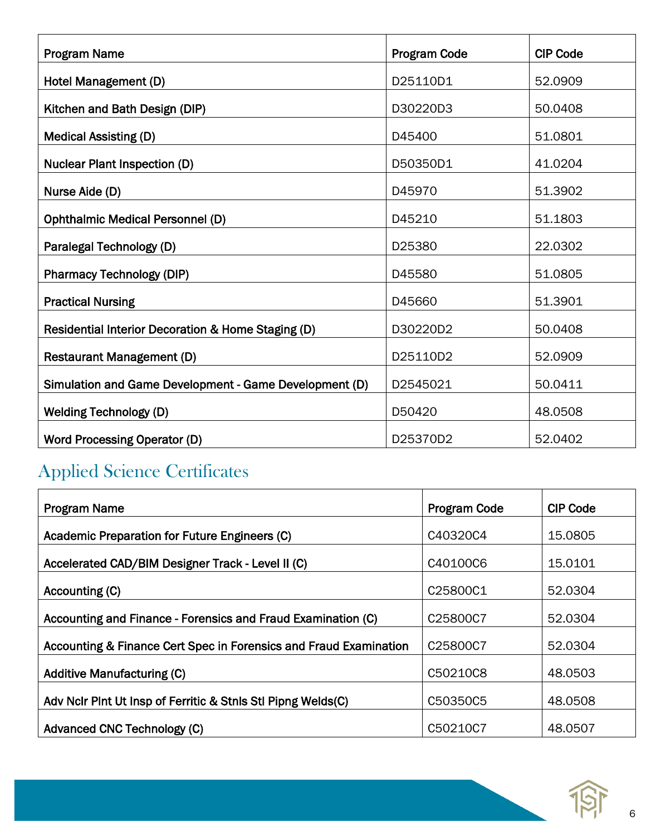| <b>Program Name</b>                                    | Program Code | <b>CIP Code</b> |
|--------------------------------------------------------|--------------|-----------------|
| Hotel Management (D)                                   | D25110D1     | 52.0909         |
| Kitchen and Bath Design (DIP)                          | D30220D3     | 50.0408         |
| <b>Medical Assisting (D)</b>                           | D45400       | 51.0801         |
| <b>Nuclear Plant Inspection (D)</b>                    | D50350D1     | 41.0204         |
| Nurse Aide (D)                                         | D45970       | 51,3902         |
| <b>Ophthalmic Medical Personnel (D)</b>                | D45210       | 51.1803         |
| Paralegal Technology (D)                               | D25380       | 22.0302         |
| <b>Pharmacy Technology (DIP)</b>                       | D45580       | 51.0805         |
| <b>Practical Nursing</b>                               | D45660       | 51.3901         |
| Residential Interior Decoration & Home Staging (D)     | D30220D2     | 50.0408         |
| <b>Restaurant Management (D)</b>                       | D25110D2     | 52.0909         |
| Simulation and Game Development - Game Development (D) | D2545021     | 50.0411         |
| <b>Welding Technology (D)</b>                          | D50420       | 48.0508         |
| <b>Word Processing Operator (D)</b>                    | D25370D2     | 52.0402         |

## Applied Science Certificates

| <b>Program Name</b>                                               | <b>Program Code</b> | <b>CIP Code</b> |
|-------------------------------------------------------------------|---------------------|-----------------|
| Academic Preparation for Future Engineers (C)                     | C40320C4            | 15,0805         |
| Accelerated CAD/BIM Designer Track - Level II (C)                 | C40100C6            | 15.0101         |
| Accounting (C)                                                    | C25800C1            | 52.0304         |
| Accounting and Finance - Forensics and Fraud Examination (C)      | C25800C7            | 52,0304         |
| Accounting & Finance Cert Spec in Forensics and Fraud Examination | C25800C7            | 52.0304         |
| Additive Manufacturing (C)                                        | C50210C8            | 48.0503         |
| Adv Nor Pint Ut Insp of Ferritic & Stnls Stl Pipng Welds(C)       | C50350C5            | 48.0508         |
| Advanced CNC Technology (C)                                       | C50210C7            | 48.0507         |

6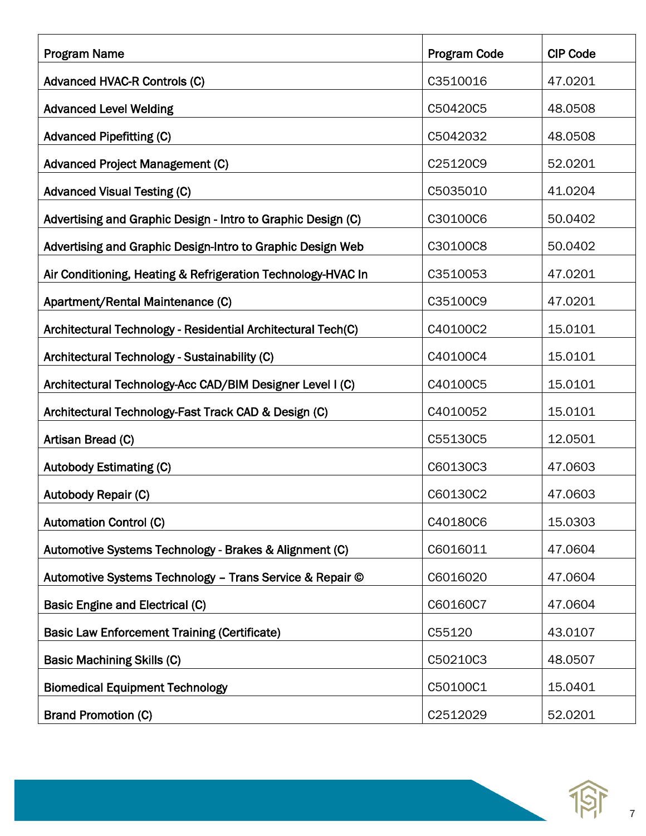| <b>Program Name</b>                                          | Program Code | <b>CIP Code</b> |
|--------------------------------------------------------------|--------------|-----------------|
| Advanced HVAC-R Controls (C)                                 | C3510016     | 47.0201         |
| <b>Advanced Level Welding</b>                                | C50420C5     | 48.0508         |
| <b>Advanced Pipefitting (C)</b>                              | C5042032     | 48.0508         |
| Advanced Project Management (C)                              | C25120C9     | 52.0201         |
| <b>Advanced Visual Testing (C)</b>                           | C5035010     | 41.0204         |
| Advertising and Graphic Design - Intro to Graphic Design (C) | C30100C6     | 50.0402         |
| Advertising and Graphic Design-Intro to Graphic Design Web   | C30100C8     | 50.0402         |
| Air Conditioning, Heating & Refrigeration Technology-HVAC In | C3510053     | 47.0201         |
| Apartment/Rental Maintenance (C)                             | C35100C9     | 47.0201         |
| Architectural Technology - Residential Architectural Tech(C) | C40100C2     | 15.0101         |
| Architectural Technology - Sustainability (C)                | C40100C4     | 15.0101         |
| Architectural Technology-Acc CAD/BIM Designer Level I (C)    | C40100C5     | 15.0101         |
| Architectural Technology-Fast Track CAD & Design (C)         | C4010052     | 15.0101         |
| Artisan Bread (C)                                            | C55130C5     | 12.0501         |
| <b>Autobody Estimating (C)</b>                               | C60130C3     | 47.0603         |
| <b>Autobody Repair (C)</b>                                   | C60130C2     | 47.0603         |
| <b>Automation Control (C)</b>                                | C40180C6     | 15.0303         |
| Automotive Systems Technology - Brakes & Alignment (C)       | C6016011     | 47.0604         |
| Automotive Systems Technology - Trans Service & Repair ©     | C6016020     | 47.0604         |
| <b>Basic Engine and Electrical (C)</b>                       | C60160C7     | 47.0604         |
| <b>Basic Law Enforcement Training (Certificate)</b>          | C55120       | 43.0107         |
| <b>Basic Machining Skills (C)</b>                            | C50210C3     | 48.0507         |
| <b>Biomedical Equipment Technology</b>                       | C50100C1     | 15.0401         |
| <b>Brand Promotion (C)</b>                                   | C2512029     | 52.0201         |

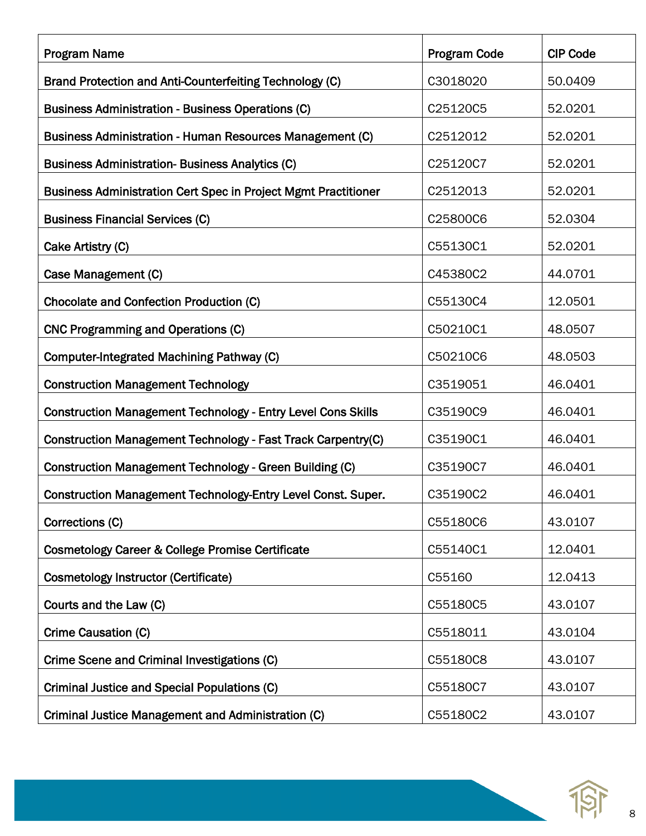| <b>Program Name</b>                                                   | <b>Program Code</b> | <b>CIP Code</b> |
|-----------------------------------------------------------------------|---------------------|-----------------|
| Brand Protection and Anti-Counterfeiting Technology (C)               | C3018020            | 50.0409         |
| <b>Business Administration - Business Operations (C)</b>              | C25120C5            | 52.0201         |
| Business Administration - Human Resources Management (C)              | C2512012            | 52.0201         |
| <b>Business Administration- Business Analytics (C)</b>                | C25120C7            | 52.0201         |
| <b>Business Administration Cert Spec in Project Mgmt Practitioner</b> | C2512013            | 52.0201         |
| <b>Business Financial Services (C)</b>                                | C25800C6            | 52.0304         |
| Cake Artistry (C)                                                     | C55130C1            | 52.0201         |
| Case Management (C)                                                   | C45380C2            | 44.0701         |
| <b>Chocolate and Confection Production (C)</b>                        | C55130C4            | 12.0501         |
| <b>CNC Programming and Operations (C)</b>                             | C50210C1            | 48.0507         |
| Computer-Integrated Machining Pathway (C)                             | C50210C6            | 48.0503         |
| <b>Construction Management Technology</b>                             | C3519051            | 46.0401         |
| <b>Construction Management Technology - Entry Level Cons Skills</b>   | C35190C9            | 46.0401         |
| Construction Management Technology - Fast Track Carpentry(C)          | C35190C1            | 46.0401         |
| <b>Construction Management Technology - Green Building (C)</b>        | C35190C7            | 46.0401         |
| <b>Construction Management Technology-Entry Level Const. Super.</b>   | C35190C2            | 46.0401         |
| Corrections (C)                                                       | C55180C6            | 43.0107         |
| Cosmetology Career & College Promise Certificate                      | C55140C1            | 12.0401         |
| <b>Cosmetology Instructor (Certificate)</b>                           | C55160              | 12.0413         |
| Courts and the Law (C)                                                | C55180C5            | 43.0107         |
| Crime Causation (C)                                                   | C5518011            | 43.0104         |
| Crime Scene and Criminal Investigations (C)                           | C55180C8            | 43.0107         |
| <b>Criminal Justice and Special Populations (C)</b>                   | C55180C7            | 43.0107         |
| Criminal Justice Management and Administration (C)                    | C55180C2            | 43.0107         |

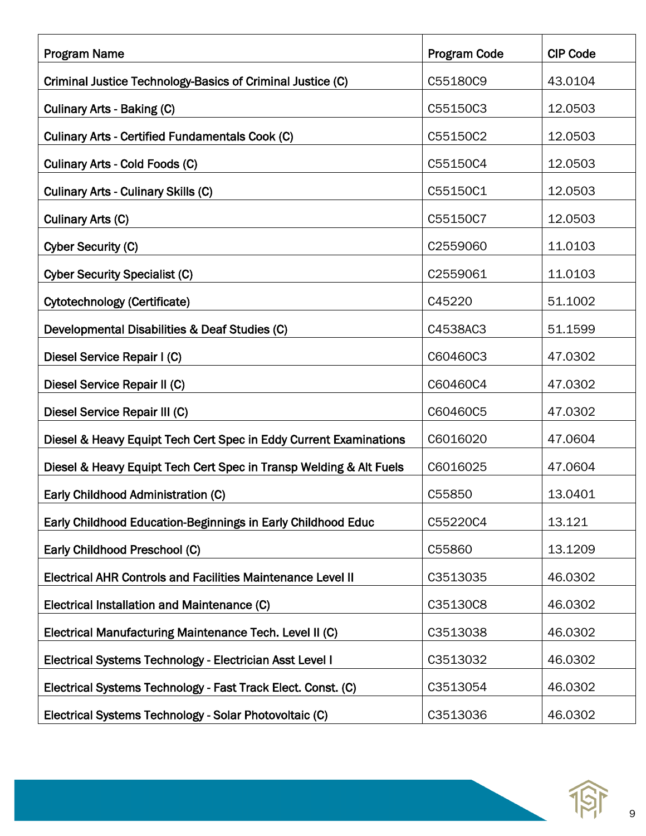| <b>Program Name</b>                                                | <b>Program Code</b> | <b>CIP Code</b> |
|--------------------------------------------------------------------|---------------------|-----------------|
| Criminal Justice Technology-Basics of Criminal Justice (C)         | C55180C9            | 43.0104         |
| <b>Culinary Arts - Baking (C)</b>                                  | C55150C3            | 12.0503         |
| <b>Culinary Arts - Certified Fundamentals Cook (C)</b>             | C55150C2            | 12.0503         |
| Culinary Arts - Cold Foods (C)                                     | C55150C4            | 12.0503         |
| <b>Culinary Arts - Culinary Skills (C)</b>                         | C55150C1            | 12.0503         |
| Culinary Arts (C)                                                  | C55150C7            | 12.0503         |
| Cyber Security (C)                                                 | C2559060            | 11.0103         |
| <b>Cyber Security Specialist (C)</b>                               | C2559061            | 11.0103         |
| Cytotechnology (Certificate)                                       | C45220              | 51.1002         |
| Developmental Disabilities & Deaf Studies (C)                      | C4538AC3            | 51.1599         |
| Diesel Service Repair I (C)                                        | C60460C3            | 47.0302         |
| Diesel Service Repair II (C)                                       | C60460C4            | 47.0302         |
| Diesel Service Repair III (C)                                      | C60460C5            | 47.0302         |
| Diesel & Heavy Equipt Tech Cert Spec in Eddy Current Examinations  | C6016020            | 47.0604         |
| Diesel & Heavy Equipt Tech Cert Spec in Transp Welding & Alt Fuels | C6016025            | 47.0604         |
| Early Childhood Administration (C)                                 | C55850              | 13.0401         |
| Early Childhood Education-Beginnings in Early Childhood Educ       | C55220C4            | 13.121          |
| Early Childhood Preschool (C)                                      | C55860              | 13.1209         |
| <b>Electrical AHR Controls and Facilities Maintenance Level II</b> | C3513035            | 46.0302         |
| Electrical Installation and Maintenance (C)                        | C35130C8            | 46.0302         |
| Electrical Manufacturing Maintenance Tech. Level II (C)            | C3513038            | 46.0302         |
| Electrical Systems Technology - Electrician Asst Level I           | C3513032            | 46.0302         |
| Electrical Systems Technology - Fast Track Elect. Const. (C)       | C3513054            | 46.0302         |
| Electrical Systems Technology - Solar Photovoltaic (C)             | C3513036            | 46.0302         |

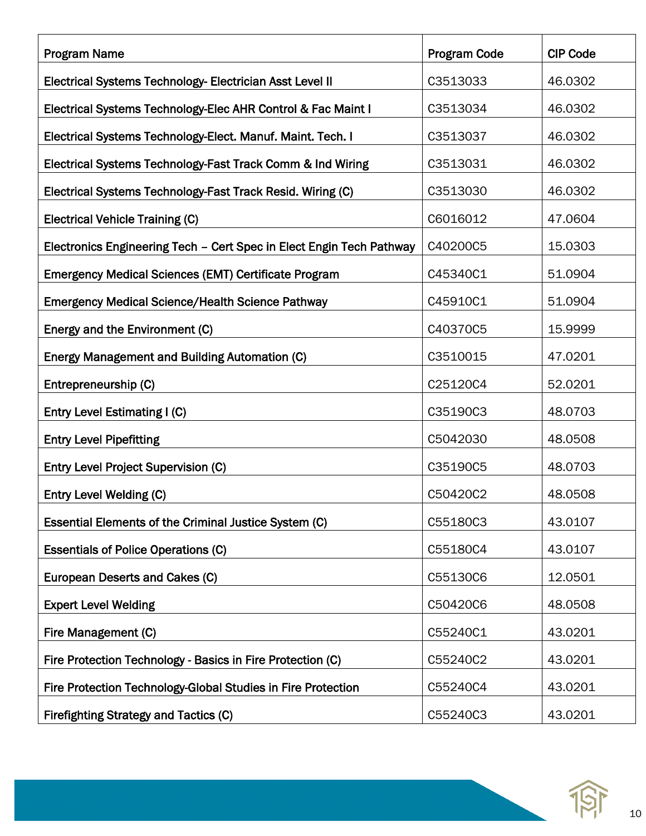| <b>Program Name</b>                                                  | Program Code | <b>CIP Code</b> |
|----------------------------------------------------------------------|--------------|-----------------|
| Electrical Systems Technology- Electrician Asst Level II             | C3513033     | 46.0302         |
| Electrical Systems Technology-Elec AHR Control & Fac Maint I         | C3513034     | 46.0302         |
| Electrical Systems Technology-Elect. Manuf. Maint. Tech. I           | C3513037     | 46.0302         |
| Electrical Systems Technology-Fast Track Comm & Ind Wiring           | C3513031     | 46.0302         |
| Electrical Systems Technology-Fast Track Resid. Wiring (C)           | C3513030     | 46.0302         |
| <b>Electrical Vehicle Training (C)</b>                               | C6016012     | 47.0604         |
| Electronics Engineering Tech - Cert Spec in Elect Engin Tech Pathway | C40200C5     | 15.0303         |
| <b>Emergency Medical Sciences (EMT) Certificate Program</b>          | C45340C1     | 51.0904         |
| <b>Emergency Medical Science/Health Science Pathway</b>              | C45910C1     | 51.0904         |
| Energy and the Environment (C)                                       | C40370C5     | 15.9999         |
| <b>Energy Management and Building Automation (C)</b>                 | C3510015     | 47.0201         |
| Entrepreneurship (C)                                                 | C25120C4     | 52.0201         |
| Entry Level Estimating I (C)                                         | C35190C3     | 48.0703         |
| <b>Entry Level Pipefitting</b>                                       | C5042030     | 48.0508         |
| <b>Entry Level Project Supervision (C)</b>                           | C35190C5     | 48.0703         |
| Entry Level Welding (C)                                              | C50420C2     | 48.0508         |
| <b>Essential Elements of the Criminal Justice System (C)</b>         | C55180C3     | 43.0107         |
| <b>Essentials of Police Operations (C)</b>                           | C55180C4     | 43.0107         |
| European Deserts and Cakes (C)                                       | C55130C6     | 12.0501         |
| <b>Expert Level Welding</b>                                          | C50420C6     | 48.0508         |
| Fire Management (C)                                                  | C55240C1     | 43.0201         |
| Fire Protection Technology - Basics in Fire Protection (C)           | C55240C2     | 43.0201         |
| Fire Protection Technology-Global Studies in Fire Protection         | C55240C4     | 43.0201         |
| Firefighting Strategy and Tactics (C)                                | C55240C3     | 43.0201         |

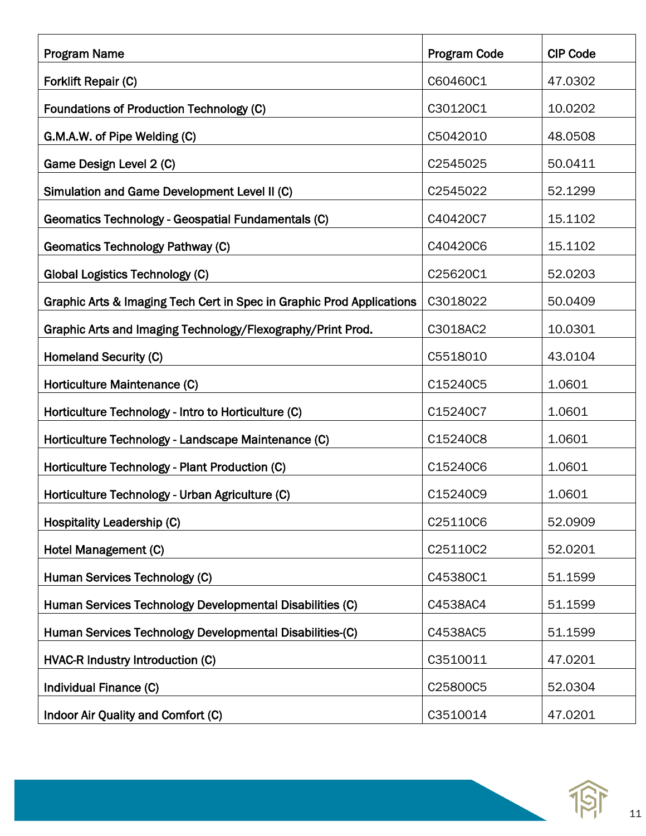| <b>Program Name</b>                                                   | <b>Program Code</b> | <b>CIP Code</b> |
|-----------------------------------------------------------------------|---------------------|-----------------|
| Forklift Repair (C)                                                   | C60460C1            | 47.0302         |
| Foundations of Production Technology (C)                              | C30120C1            | 10.0202         |
| G.M.A.W. of Pipe Welding (C)                                          | C5042010            | 48.0508         |
| Game Design Level 2 (C)                                               | C2545025            | 50.0411         |
| Simulation and Game Development Level II (C)                          | C2545022            | 52.1299         |
| Geomatics Technology - Geospatial Fundamentals (C)                    | C40420C7            | 15.1102         |
| <b>Geomatics Technology Pathway (C)</b>                               | C40420C6            | 15.1102         |
| <b>Global Logistics Technology (C)</b>                                | C25620C1            | 52.0203         |
| Graphic Arts & Imaging Tech Cert in Spec in Graphic Prod Applications | C3018022            | 50.0409         |
| Graphic Arts and Imaging Technology/Flexography/Print Prod.           | C3018AC2            | 10.0301         |
| <b>Homeland Security (C)</b>                                          | C5518010            | 43.0104         |
| Horticulture Maintenance (C)                                          | C15240C5            | 1.0601          |
| Horticulture Technology - Intro to Horticulture (C)                   | C15240C7            | 1.0601          |
| Horticulture Technology - Landscape Maintenance (C)                   | C15240C8            | 1.0601          |
| Horticulture Technology - Plant Production (C)                        | C15240C6            | 1.0601          |
| Horticulture Technology - Urban Agriculture (C)                       | C15240C9            | 1.0601          |
| <b>Hospitality Leadership (C)</b>                                     | C25110C6            | 52.0909         |
| Hotel Management (C)                                                  | C25110C2            | 52.0201         |
| Human Services Technology (C)                                         | C45380C1            | 51.1599         |
| Human Services Technology Developmental Disabilities (C)              | C4538AC4            | 51.1599         |
| Human Services Technology Developmental Disabilities-(C)              | C4538AC5            | 51.1599         |
| HVAC-R Industry Introduction (C)                                      | C3510011            | 47.0201         |
| Individual Finance (C)                                                | C25800C5            | 52.0304         |
| Indoor Air Quality and Comfort (C)                                    | C3510014            | 47.0201         |

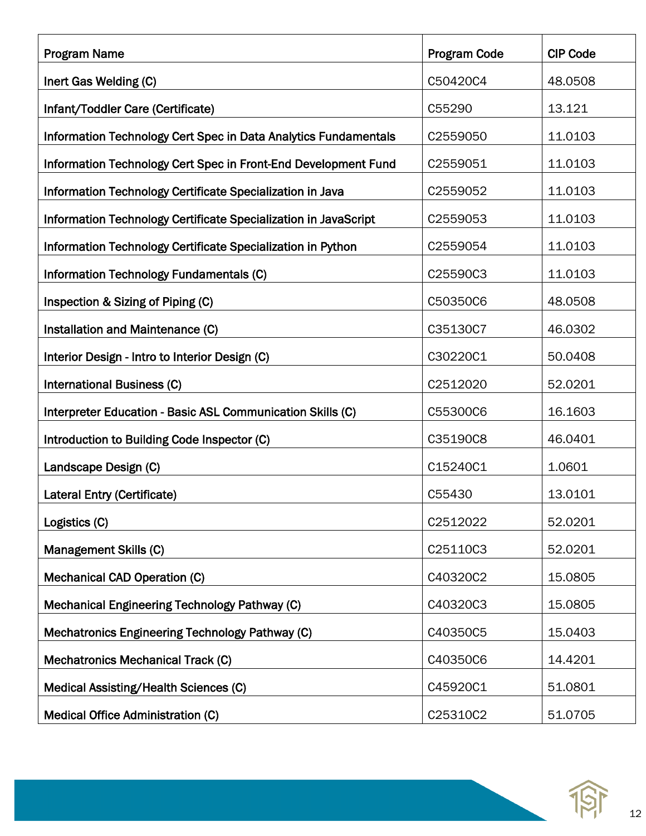| <b>Program Name</b>                                             | <b>Program Code</b> | <b>CIP Code</b> |
|-----------------------------------------------------------------|---------------------|-----------------|
| Inert Gas Welding (C)                                           | C50420C4            | 48.0508         |
| Infant/Toddler Care (Certificate)                               | C55290              | 13.121          |
| Information Technology Cert Spec in Data Analytics Fundamentals | C2559050            | 11.0103         |
| Information Technology Cert Spec in Front-End Development Fund  | C2559051            | 11.0103         |
| Information Technology Certificate Specialization in Java       | C2559052            | 11.0103         |
| Information Technology Certificate Specialization in JavaScript | C2559053            | 11.0103         |
| Information Technology Certificate Specialization in Python     | C2559054            | 11.0103         |
| Information Technology Fundamentals (C)                         | C25590C3            | 11.0103         |
| Inspection & Sizing of Piping (C)                               | C50350C6            | 48.0508         |
| Installation and Maintenance (C)                                | C35130C7            | 46.0302         |
| Interior Design - Intro to Interior Design (C)                  | C30220C1            | 50.0408         |
| International Business (C)                                      | C2512020            | 52.0201         |
| Interpreter Education - Basic ASL Communication Skills (C)      | C55300C6            | 16.1603         |
| Introduction to Building Code Inspector (C)                     | C35190C8            | 46.0401         |
| Landscape Design (C)                                            | C15240C1            | 1.0601          |
| <b>Lateral Entry (Certificate)</b>                              | C55430              | 13.0101         |
| Logistics (C)                                                   | C2512022            | 52.0201         |
| Management Skills (C)                                           | C25110C3            | 52.0201         |
| <b>Mechanical CAD Operation (C)</b>                             | C40320C2            | 15.0805         |
| Mechanical Engineering Technology Pathway (C)                   | C40320C3            | 15.0805         |
| Mechatronics Engineering Technology Pathway (C)                 | C40350C5            | 15.0403         |
| Mechatronics Mechanical Track (C)                               | C40350C6            | 14.4201         |
| Medical Assisting/Health Sciences (C)                           | C45920C1            | 51.0801         |
| <b>Medical Office Administration (C)</b>                        | C25310C2            | 51.0705         |

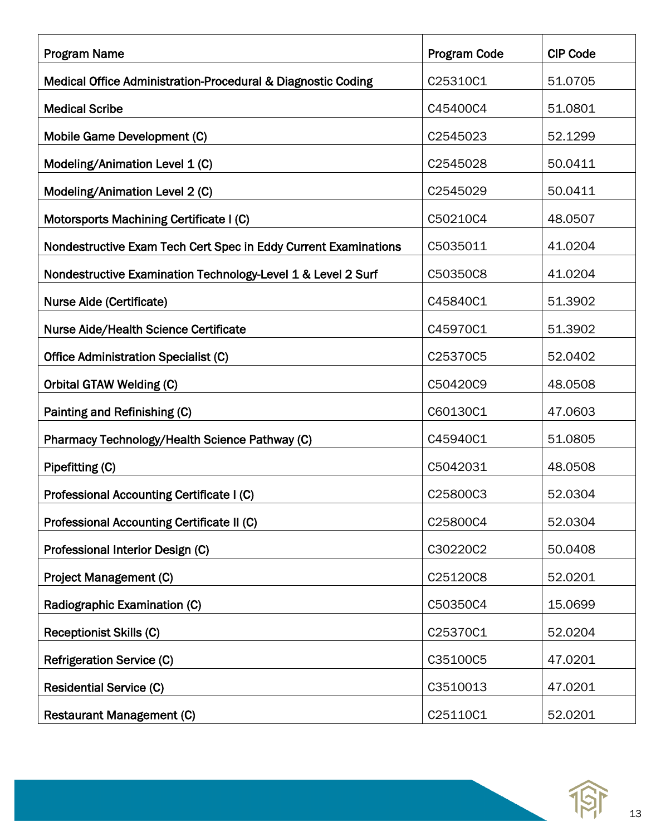| <b>Program Name</b>                                             | <b>Program Code</b> | <b>CIP Code</b> |
|-----------------------------------------------------------------|---------------------|-----------------|
| Medical Office Administration-Procedural & Diagnostic Coding    | C25310C1            | 51.0705         |
| <b>Medical Scribe</b>                                           | C45400C4            | 51.0801         |
| Mobile Game Development (C)                                     | C2545023            | 52.1299         |
| Modeling/Animation Level 1 (C)                                  | C2545028            | 50.0411         |
| Modeling/Animation Level 2 (C)                                  | C2545029            | 50.0411         |
| Motorsports Machining Certificate I (C)                         | C50210C4            | 48.0507         |
| Nondestructive Exam Tech Cert Spec in Eddy Current Examinations | C5035011            | 41.0204         |
| Nondestructive Examination Technology-Level 1 & Level 2 Surf    | C50350C8            | 41.0204         |
| Nurse Aide (Certificate)                                        | C45840C1            | 51.3902         |
| <b>Nurse Aide/Health Science Certificate</b>                    | C45970C1            | 51.3902         |
| <b>Office Administration Specialist (C)</b>                     | C25370C5            | 52.0402         |
| Orbital GTAW Welding (C)                                        | C50420C9            | 48.0508         |
| Painting and Refinishing (C)                                    | C60130C1            | 47.0603         |
| Pharmacy Technology/Health Science Pathway (C)                  | C45940C1            | 51.0805         |
| Pipefitting (C)                                                 | C5042031            | 48.0508         |
| Professional Accounting Certificate I (C)                       | C25800C3            | 52.0304         |
| Professional Accounting Certificate II (C)                      | C25800C4            | 52.0304         |
| Professional Interior Design (C)                                | C30220C2            | 50.0408         |
| Project Management (C)                                          | C25120C8            | 52.0201         |
| Radiographic Examination (C)                                    | C50350C4            | 15.0699         |
| <b>Receptionist Skills (C)</b>                                  | C25370C1            | 52.0204         |
| <b>Refrigeration Service (C)</b>                                | C35100C5            | 47.0201         |
| <b>Residential Service (C)</b>                                  | C3510013            | 47.0201         |
| <b>Restaurant Management (C)</b>                                | C25110C1            | 52.0201         |

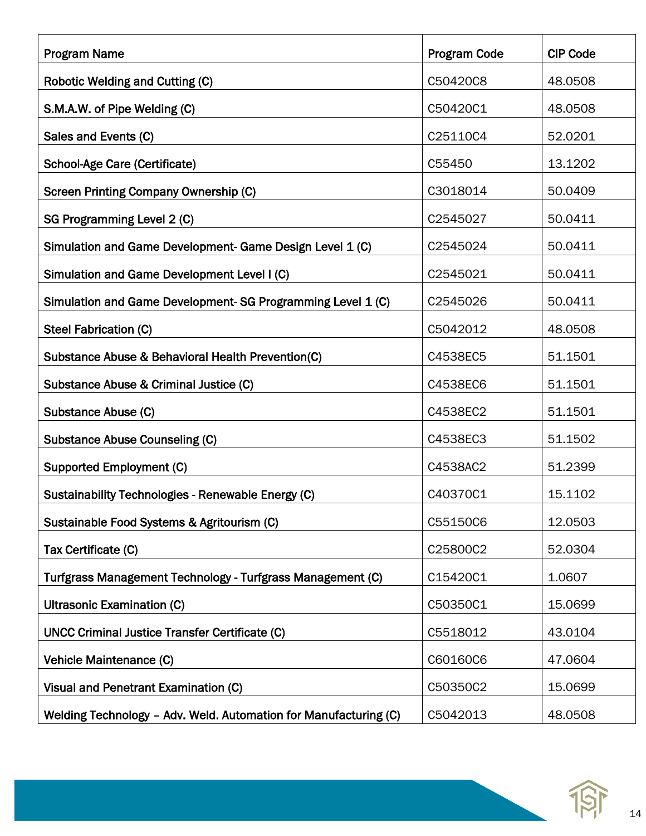| <b>Program Name</b>                                              | <b>Program Code</b> | <b>CIP Code</b> |
|------------------------------------------------------------------|---------------------|-----------------|
| Robotic Welding and Cutting (C)                                  | C50420C8            | 48.0508         |
| S.M.A.W. of Pipe Welding (C)                                     | C50420C1            | 48.0508         |
| Sales and Events (C)                                             | C25110C4            | 52.0201         |
| School-Age Care (Certificate)                                    | C55450              | 13.1202         |
| Screen Printing Company Ownership (C)                            | C3018014            | 50.0409         |
| SG Programming Level 2 (C)                                       | C2545027            | 50.0411         |
| Simulation and Game Development- Game Design Level 1 (C)         | C2545024            | 50.0411         |
| Simulation and Game Development Level I (C)                      | C2545021            | 50.0411         |
| Simulation and Game Development-SG Programming Level 1 (C)       | C2545026            | 50.0411         |
| Steel Fabrication (C)                                            | C5042012            | 48.0508         |
| Substance Abuse & Behavioral Health Prevention(C)                | C4538EC5            | 51.1501         |
| Substance Abuse & Criminal Justice (C)                           | C4538EC6            | 51.1501         |
| Substance Abuse (C)                                              | C4538EC2            | 51.1501         |
| Substance Abuse Counseling (C)                                   | C4538EC3            | 51.1502         |
| <b>Supported Employment (C)</b>                                  | C4538AC2            | 51.2399         |
| Sustainability Technologies - Renewable Energy (C)               | C40370C1            | 15.1102         |
| Sustainable Food Systems & Agritourism (C)                       | C55150C6            | 12.0503         |
| Tax Certificate (C)                                              | C25800C2            | 52.0304         |
| Turfgrass Management Technology - Turfgrass Management (C)       | C15420C1            | 1.0607          |
| <b>Ultrasonic Examination (C)</b>                                | C50350C1            | 15.0699         |
| <b>UNCC Criminal Justice Transfer Certificate (C)</b>            | C5518012            | 43.0104         |
| Vehicle Maintenance (C)                                          | C60160C6            | 47.0604         |
| Visual and Penetrant Examination (C)                             | C50350C2            | 15.0699         |
| Welding Technology - Adv. Weld. Automation for Manufacturing (C) | C5042013            | 48.0508         |